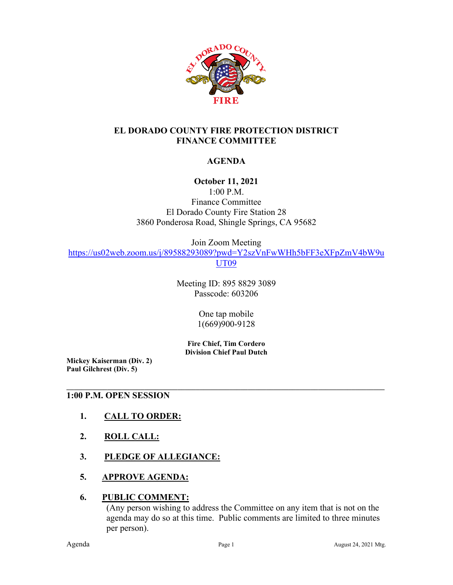

## **EL DORADO COUNTY FIRE PROTECTION DISTRICT FINANCE COMMITTEE**

## **AGENDA**

## **October 11, 2021**

1:00 P.M.

Finance Committee El Dorado County Fire Station 28 3860 Ponderosa Road, Shingle Springs, CA 95682

Join Zoom Meeting

[https://us02web.zoom.us/j/89588293089?pwd=Y2szVnFwWHh5bFF3eXFpZmV4bW9u](https://us02web.zoom.us/j/89588293089?pwd=Y2szVnFwWHh5bFF3eXFpZmV4bW9uUT09) [UT09](https://us02web.zoom.us/j/89588293089?pwd=Y2szVnFwWHh5bFF3eXFpZmV4bW9uUT09)

> Meeting ID: 895 8829 3089 Passcode: 603206

> > One tap mobile 1(669)900-9128

**Fire Chief, Tim Cordero Division Chief Paul Dutch**

**\_\_\_\_\_\_\_\_\_\_\_\_\_\_\_\_\_\_\_\_\_\_\_\_\_\_\_\_\_\_\_\_\_\_\_\_\_\_\_\_\_\_\_\_\_\_\_\_\_\_\_\_\_\_\_\_\_\_\_\_\_\_\_\_\_\_\_\_\_\_\_\_\_\_\_\_\_\_\_\_\_\_\_\_\_\_**

**Mickey Kaiserman (Div. 2) Paul Gilchrest (Div. 5)** 

### **1:00 P.M. OPEN SESSION**

- **1. CALL TO ORDER:**
- **2. ROLL CALL:**
- **3. PLEDGE OF ALLEGIANCE:**
- **5. APPROVE AGENDA:**

#### **6. PUBLIC COMMENT:**

(Any person wishing to address the Committee on any item that is not on the agenda may do so at this time. Public comments are limited to three minutes per person).